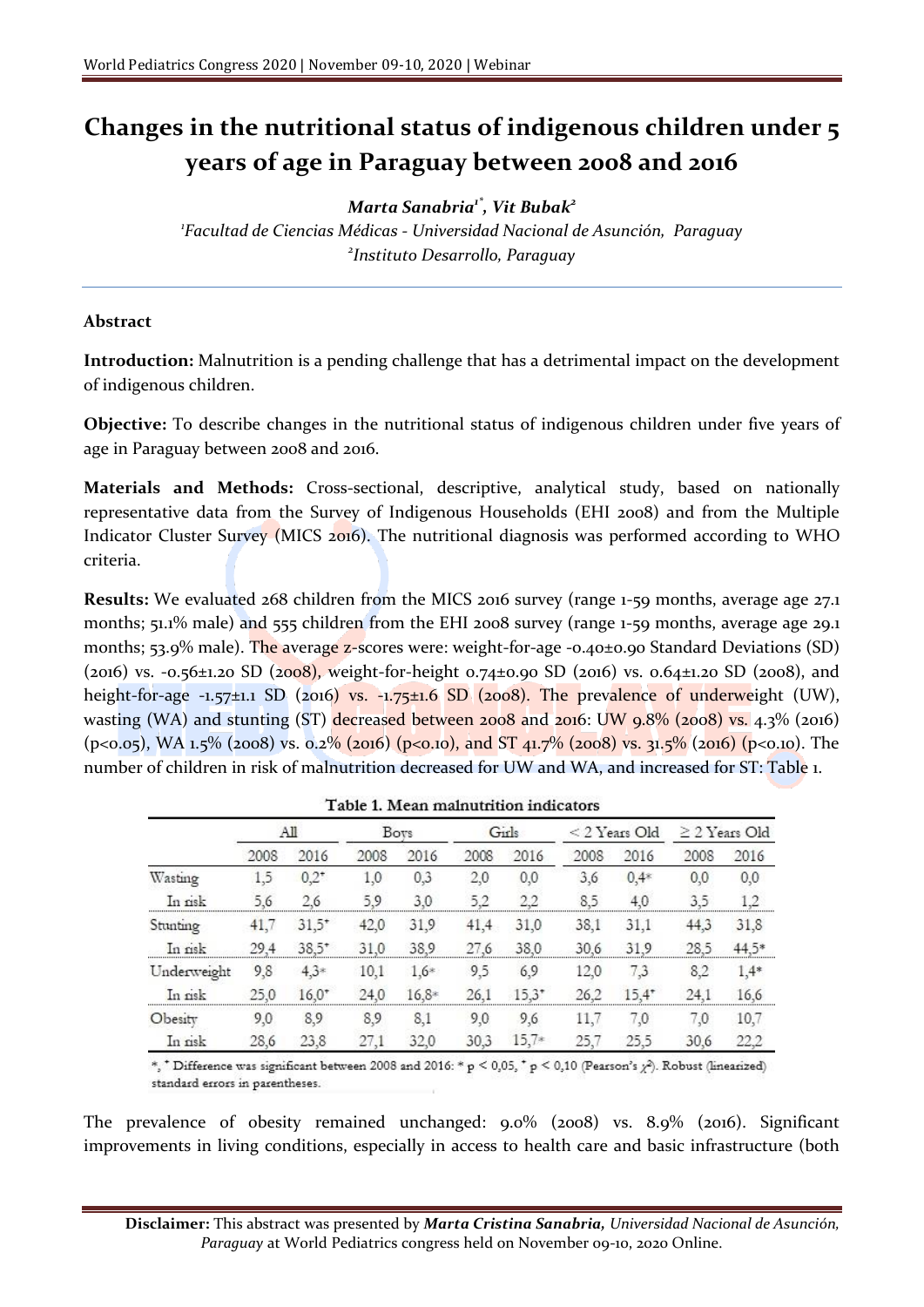## **Changes in the nutritional status of indigenous children under 5 years of age in Paraguay between 2008 and 2016**

*Marta Sanabria1\* , Vit Bubak<sup>2</sup>*

*1 Facultad de Ciencias Médicas - Universidad Nacional de Asunción, Paraguay 2 Instituto Desarrollo, Paraguay*

## **Abstract**

**Introduction:** Malnutrition is a pending challenge that has a detrimental impact on the development of indigenous children.

**Objective:** To describe changes in the nutritional status of indigenous children under five years of age in Paraguay between 2008 and 2016.

**Materials and Methods:** Cross-sectional, descriptive, analytical study, based on nationally representative data from the Survey of Indigenous Households (EHI 2008) and from the Multiple Indicator Cluster Survey (MICS 2016). The nutritional diagnosis was performed according to WHO criteria.

**Results:** We evaluated 268 children from the MICS 2016 survey (range 1-59 months, average age 27.1 months; 51.1% male) and 555 children from the EHI 2008 survey (range 1-59 months, average age 29.1 months; 53.9% male). The average z-scores were: weight-for-age -0.40±0.90 Standard Deviations (SD) (2016) vs. -0.56±1.20 SD (2008), weight-for-height 0.74±0.90 SD (2016) vs. 0.64±1.20 SD (2008), and height-for-age  $-1.57\pm1.1$  SD (2016) vs.  $-1.75\pm1.6$  SD (2008). The prevalence of underweight (UW), wasting (WA) and stunting (ST) decreased between 2008 and 2016: UW 9.8% (2008) vs. 4.3% (2016) (p<0.05), WA 1.5% (2008) vs. 0.2% (2016) (p<0.10), and ST 41.7% (2008) vs. 31.5% (2016) (p<0.10). The number of children in risk of malnutrition decreased for UW and WA, and increased for ST: Table 1.

|             | AЩ   |          | <b>Boys</b> |         | Girls |          | $<$ 2 Years Old |          | $\geq$ 2 Years Old |        |
|-------------|------|----------|-------------|---------|-------|----------|-----------------|----------|--------------------|--------|
|             | 2008 | 2016     | 2008        | 2016    | 2008  | 2016     | 2008            | 2016     | 2008               | 2016   |
| Wasting     | 1.5  | $0.2^*$  | 1.0         | 0,3     | 2,0   | 0.0      | 3.6             | $0,4*$   | 0,0                | 0,0    |
| In risk     | 5.6  | 26       | 5.9         | 3.0     | 52    | 22       | 85              | 4.0      | 3.5                | 1.2    |
| Stunting    | 41,7 | $31,5^*$ | 42,0        | 31,9    | 41,4  | 31,0     | 38,1            | 31.1     | 44,3               | 31,8   |
| In risk     | 29.4 | $38.5*$  | 31.0        | 38.9    | 27.6  | 38.0     | 30.6            | 319      | 28.5               | 44.5*  |
| Underweight | 9,8  | $4.3*$   | 10,1        | $1.6*$  | 9,5   | 6,9      | 12.0            | 7,3      | 8,2                | $1.4*$ |
| In risk     | 25.0 | $16.0*$  | 24.0        | $16,8*$ | 26.1  | $15.3^*$ | 26.2            | $15.4^*$ | 24.1               | 16.6   |
| Obesity     | 9.0  | 8,9      | 8.9         | 8.1     | 9,0   | 9,6      | 11.7            | 7.0      | 7,0                | 10,7   |
| In nsk      | 28,6 | 23,8     | 27.1        | 32,0    | 30.3  | $15.7*$  | 25.7            | 25.5     | 30,6               | 22.2   |

| Table 1. Mean malnutrition indicators |  |
|---------------------------------------|--|
|---------------------------------------|--|

 $^*,$   $^*$  Difference was significant between 2008 and 2016: \* p  $<$  0,05,  $^*$  p  $<$  0,10 (Pearson's  $\chi$  ). Robust (linearized) standard errors in parentheses.

The prevalence of obesity remained unchanged: 9.0% (2008) vs. 8.9% (2016). Significant improvements in living conditions, especially in access to health care and basic infrastructure (both

**Disclaimer:** This abstract was presented by *Marta Cristina Sanabria, Universidad Nacional de Asunción, Paraguay* at World Pediatrics congress held on November 09-10, 2020 Online.